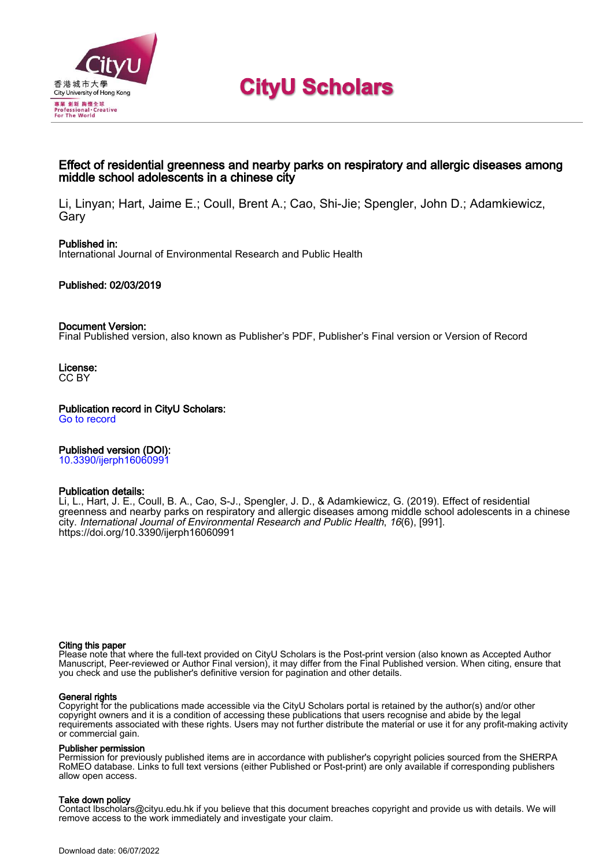

**CityU Scholars** 

## Effect of residential greenness and nearby parks on respiratory and allergic diseases among middle school adolescents in a chinese city

Li, Linyan; Hart, Jaime E.; Coull, Brent A.; Cao, Shi-Jie; Spengler, John D.; Adamkiewicz, Gary

Published in: International Journal of Environmental Research and Public Health

Published: 02/03/2019

## Document Version:

Final Published version, also known as Publisher's PDF, Publisher's Final version or Version of Record

License: CC BY

Publication record in CityU Scholars: [Go to record](https://scholars.cityu.edu.hk/en/publications/effect-of-residential-greenness-and-nearby-parks-on-respiratory-and-allergic-diseases-among-middle-school-adolescents-in-a-chinese-city(6dbd9dee-26bc-4e78-8f7e-258616da52be).html)

## Published version (DOI):

[10.3390/ijerph16060991](https://doi.org/10.3390/ijerph16060991)

#### Publication details:

[Li, L.,](https://scholars.cityu.edu.hk/en/persons/linyan-li(42e8876e-e92d-423b-a3d0-2d28229bd6f0).html) Hart, J. E., Coull, B. A., Cao, S-J., Spengler, J. D., & Adamkiewicz, G. (2019). [Effect of residential](https://scholars.cityu.edu.hk/en/publications/effect-of-residential-greenness-and-nearby-parks-on-respiratory-and-allergic-diseases-among-middle-school-adolescents-in-a-chinese-city(6dbd9dee-26bc-4e78-8f7e-258616da52be).html) [greenness and nearby parks on respiratory and allergic diseases among middle school adolescents in a chinese](https://scholars.cityu.edu.hk/en/publications/effect-of-residential-greenness-and-nearby-parks-on-respiratory-and-allergic-diseases-among-middle-school-adolescents-in-a-chinese-city(6dbd9dee-26bc-4e78-8f7e-258616da52be).html) [city.](https://scholars.cityu.edu.hk/en/publications/effect-of-residential-greenness-and-nearby-parks-on-respiratory-and-allergic-diseases-among-middle-school-adolescents-in-a-chinese-city(6dbd9dee-26bc-4e78-8f7e-258616da52be).html) [International Journal of Environmental Research and Public Health](https://scholars.cityu.edu.hk/en/journals/international-journal-of-environmental-research-and-public-health(b9e88005-aa26-4ad7-9a6f-497aead9305f)/publications.html), 16(6), [991]. <https://doi.org/10.3390/ijerph16060991>

#### Citing this paper

Please note that where the full-text provided on CityU Scholars is the Post-print version (also known as Accepted Author Manuscript, Peer-reviewed or Author Final version), it may differ from the Final Published version. When citing, ensure that you check and use the publisher's definitive version for pagination and other details.

#### General rights

Copyright for the publications made accessible via the CityU Scholars portal is retained by the author(s) and/or other copyright owners and it is a condition of accessing these publications that users recognise and abide by the legal requirements associated with these rights. Users may not further distribute the material or use it for any profit-making activity or commercial gain.

#### Publisher permission

Permission for previously published items are in accordance with publisher's copyright policies sourced from the SHERPA RoMEO database. Links to full text versions (either Published or Post-print) are only available if corresponding publishers allow open access.

#### Take down policy

Contact lbscholars@cityu.edu.hk if you believe that this document breaches copyright and provide us with details. We will remove access to the work immediately and investigate your claim.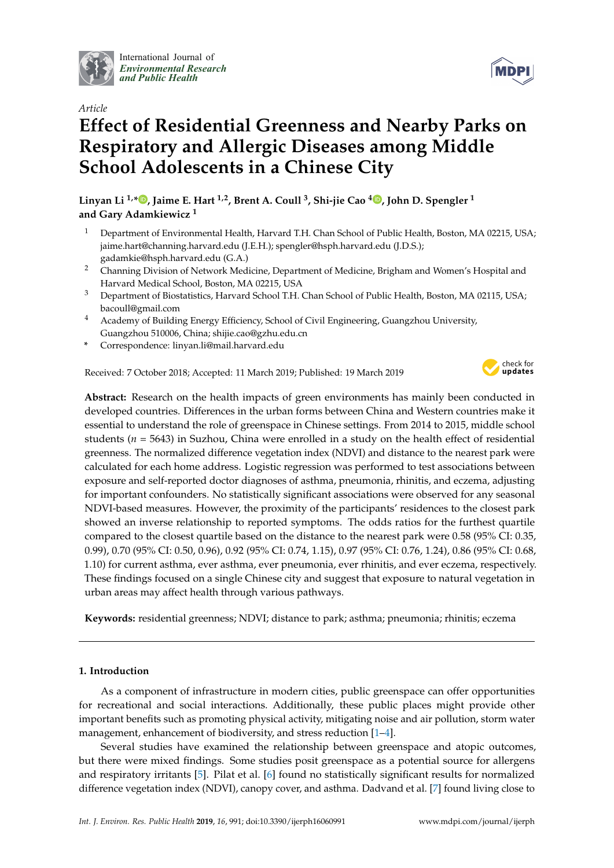

International Journal of *[Environmental Research](http://www.mdpi.com/journal/ijerph) and Public Health*



# *Article* **Effect of Residential Greenness and Nearby Parks on Respiratory and Allergic Diseases among Middle School Adolescents in a Chinese City**

**Linyan Li 1,[\\*](https://orcid.org/0000-0001-5736-2115) , Jaime E. Hart 1,2, Brent A. Coull <sup>3</sup> , Shi-jie Cao [4](https://orcid.org/0000-0001-9136-0949) , John D. Spengler <sup>1</sup> and Gary Adamkiewicz <sup>1</sup>**

- <sup>1</sup> Department of Environmental Health, Harvard T.H. Chan School of Public Health, Boston, MA 02215, USA; jaime.hart@channing.harvard.edu (J.E.H.); spengler@hsph.harvard.edu (J.D.S.); gadamkie@hsph.harvard.edu (G.A.)
- <sup>2</sup> Channing Division of Network Medicine, Department of Medicine, Brigham and Women's Hospital and Harvard Medical School, Boston, MA 02215, USA
- <sup>3</sup> Department of Biostatistics, Harvard School T.H. Chan School of Public Health, Boston, MA 02115, USA; bacoull@gmail.com
- <sup>4</sup> Academy of Building Energy Efficiency, School of Civil Engineering, Guangzhou University, Guangzhou 510006, China; shijie.cao@gzhu.edu.cn
- **\*** Correspondence: linyan.li@mail.harvard.edu

Received: 7 October 2018; Accepted: 11 March 2019; Published: 19 March 2019



**Abstract:** Research on the health impacts of green environments has mainly been conducted in developed countries. Differences in the urban forms between China and Western countries make it essential to understand the role of greenspace in Chinese settings. From 2014 to 2015, middle school students (*n* = 5643) in Suzhou, China were enrolled in a study on the health effect of residential greenness. The normalized difference vegetation index (NDVI) and distance to the nearest park were calculated for each home address. Logistic regression was performed to test associations between exposure and self-reported doctor diagnoses of asthma, pneumonia, rhinitis, and eczema, adjusting for important confounders. No statistically significant associations were observed for any seasonal NDVI-based measures. However, the proximity of the participants' residences to the closest park showed an inverse relationship to reported symptoms. The odds ratios for the furthest quartile compared to the closest quartile based on the distance to the nearest park were 0.58 (95% CI: 0.35, 0.99), 0.70 (95% CI: 0.50, 0.96), 0.92 (95% CI: 0.74, 1.15), 0.97 (95% CI: 0.76, 1.24), 0.86 (95% CI: 0.68, 1.10) for current asthma, ever asthma, ever pneumonia, ever rhinitis, and ever eczema, respectively. These findings focused on a single Chinese city and suggest that exposure to natural vegetation in urban areas may affect health through various pathways.

**Keywords:** residential greenness; NDVI; distance to park; asthma; pneumonia; rhinitis; eczema

## **1. Introduction**

As a component of infrastructure in modern cities, public greenspace can offer opportunities for recreational and social interactions. Additionally, these public places might provide other important benefits such as promoting physical activity, mitigating noise and air pollution, storm water management, enhancement of biodiversity, and stress reduction [\[1](#page-9-0)[–4\]](#page-9-1).

Several studies have examined the relationship between greenspace and atopic outcomes, but there were mixed findings. Some studies posit greenspace as a potential source for allergens and respiratory irritants [\[5\]](#page-9-2). Pilat et al. [\[6\]](#page-9-3) found no statistically significant results for normalized difference vegetation index (NDVI), canopy cover, and asthma. Dadvand et al. [\[7\]](#page-9-4) found living close to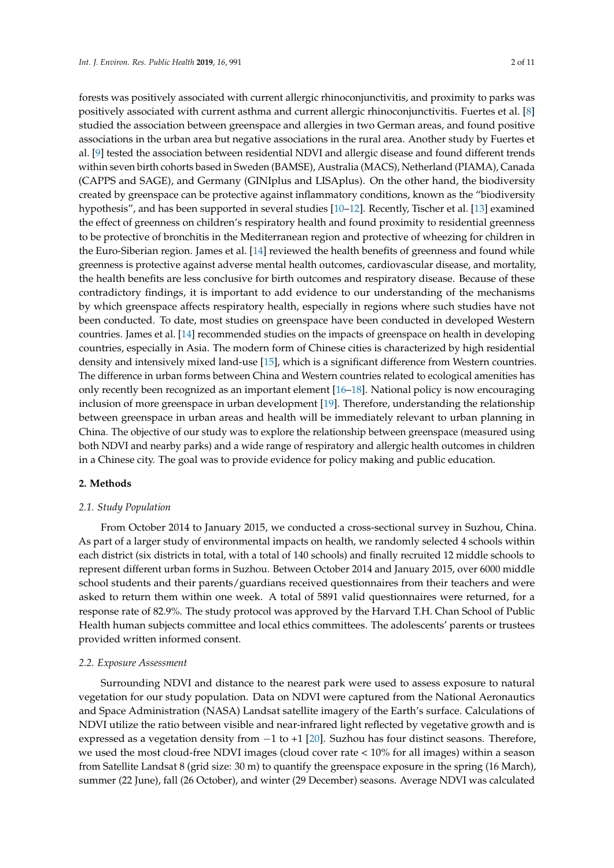forests was positively associated with current allergic rhinoconjunctivitis, and proximity to parks was positively associated with current asthma and current allergic rhinoconjunctivitis. Fuertes et al. [\[8\]](#page-9-5) studied the association between greenspace and allergies in two German areas, and found positive associations in the urban area but negative associations in the rural area. Another study by Fuertes et al. [\[9\]](#page-9-6) tested the association between residential NDVI and allergic disease and found different trends within seven birth cohorts based in Sweden (BAMSE), Australia (MACS), Netherland (PIAMA), Canada (CAPPS and SAGE), and Germany (GINIplus and LISAplus). On the other hand, the biodiversity created by greenspace can be protective against inflammatory conditions, known as the "biodiversity hypothesis", and has been supported in several studies [\[10–](#page-10-0)[12\]](#page-10-1). Recently, Tischer et al. [\[13\]](#page-10-2) examined the effect of greenness on children's respiratory health and found proximity to residential greenness to be protective of bronchitis in the Mediterranean region and protective of wheezing for children in the Euro-Siberian region. James et al. [\[14\]](#page-10-3) reviewed the health benefits of greenness and found while greenness is protective against adverse mental health outcomes, cardiovascular disease, and mortality, the health benefits are less conclusive for birth outcomes and respiratory disease. Because of these contradictory findings, it is important to add evidence to our understanding of the mechanisms by which greenspace affects respiratory health, especially in regions where such studies have not been conducted. To date, most studies on greenspace have been conducted in developed Western countries. James et al. [\[14\]](#page-10-3) recommended studies on the impacts of greenspace on health in developing countries, especially in Asia. The modern form of Chinese cities is characterized by high residential density and intensively mixed land-use [\[15\]](#page-10-4), which is a significant difference from Western countries. The difference in urban forms between China and Western countries related to ecological amenities has only recently been recognized as an important element [\[16–](#page-10-5)[18\]](#page-10-6). National policy is now encouraging inclusion of more greenspace in urban development [\[19\]](#page-10-7). Therefore, understanding the relationship between greenspace in urban areas and health will be immediately relevant to urban planning in China. The objective of our study was to explore the relationship between greenspace (measured using both NDVI and nearby parks) and a wide range of respiratory and allergic health outcomes in children in a Chinese city. The goal was to provide evidence for policy making and public education.

#### **2. Methods**

#### *2.1. Study Population*

From October 2014 to January 2015, we conducted a cross-sectional survey in Suzhou, China. As part of a larger study of environmental impacts on health, we randomly selected 4 schools within each district (six districts in total, with a total of 140 schools) and finally recruited 12 middle schools to represent different urban forms in Suzhou. Between October 2014 and January 2015, over 6000 middle school students and their parents/guardians received questionnaires from their teachers and were asked to return them within one week. A total of 5891 valid questionnaires were returned, for a response rate of 82.9%. The study protocol was approved by the Harvard T.H. Chan School of Public Health human subjects committee and local ethics committees. The adolescents' parents or trustees provided written informed consent.

#### *2.2. Exposure Assessment*

Surrounding NDVI and distance to the nearest park were used to assess exposure to natural vegetation for our study population. Data on NDVI were captured from the National Aeronautics and Space Administration (NASA) Landsat satellite imagery of the Earth's surface. Calculations of NDVI utilize the ratio between visible and near-infrared light reflected by vegetative growth and is expressed as a vegetation density from  $-1$  to  $+1$  [\[20\]](#page-10-8). Suzhou has four distinct seasons. Therefore, we used the most cloud-free NDVI images (cloud cover rate < 10% for all images) within a season from Satellite Landsat 8 (grid size: 30 m) to quantify the greenspace exposure in the spring (16 March), summer (22 June), fall (26 October), and winter (29 December) seasons. Average NDVI was calculated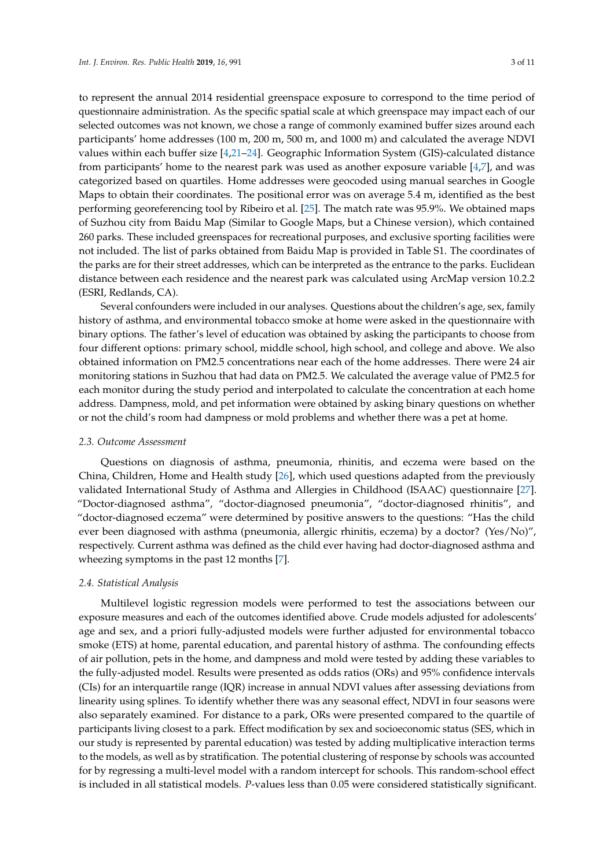to represent the annual 2014 residential greenspace exposure to correspond to the time period of questionnaire administration. As the specific spatial scale at which greenspace may impact each of our selected outcomes was not known, we chose a range of commonly examined buffer sizes around each participants' home addresses (100 m, 200 m, 500 m, and 1000 m) and calculated the average NDVI values within each buffer size [\[4](#page-9-1)[,21](#page-10-9)[–24\]](#page-10-10). Geographic Information System (GIS)-calculated distance from participants' home to the nearest park was used as another exposure variable [\[4,](#page-9-1)[7\]](#page-9-4), and was categorized based on quartiles. Home addresses were geocoded using manual searches in Google Maps to obtain their coordinates. The positional error was on average 5.4 m, identified as the best performing georeferencing tool by Ribeiro et al. [\[25\]](#page-10-11). The match rate was 95.9%. We obtained maps of Suzhou city from Baidu Map (Similar to Google Maps, but a Chinese version), which contained 260 parks. These included greenspaces for recreational purposes, and exclusive sporting facilities were not included. The list of parks obtained from Baidu Map is provided in Table S1. The coordinates of the parks are for their street addresses, which can be interpreted as the entrance to the parks. Euclidean distance between each residence and the nearest park was calculated using ArcMap version 10.2.2 (ESRI, Redlands, CA).

Several confounders were included in our analyses. Questions about the children's age, sex, family history of asthma, and environmental tobacco smoke at home were asked in the questionnaire with binary options. The father's level of education was obtained by asking the participants to choose from four different options: primary school, middle school, high school, and college and above. We also obtained information on PM2.5 concentrations near each of the home addresses. There were 24 air monitoring stations in Suzhou that had data on PM2.5. We calculated the average value of PM2.5 for each monitor during the study period and interpolated to calculate the concentration at each home address. Dampness, mold, and pet information were obtained by asking binary questions on whether or not the child's room had dampness or mold problems and whether there was a pet at home.

#### *2.3. Outcome Assessment*

Questions on diagnosis of asthma, pneumonia, rhinitis, and eczema were based on the China, Children, Home and Health study [\[26\]](#page-10-12), which used questions adapted from the previously validated International Study of Asthma and Allergies in Childhood (ISAAC) questionnaire [\[27\]](#page-10-13). "Doctor-diagnosed asthma", "doctor-diagnosed pneumonia", "doctor-diagnosed rhinitis", and "doctor-diagnosed eczema" were determined by positive answers to the questions: "Has the child ever been diagnosed with asthma (pneumonia, allergic rhinitis, eczema) by a doctor? (Yes/No)", respectively. Current asthma was defined as the child ever having had doctor-diagnosed asthma and wheezing symptoms in the past 12 months [\[7\]](#page-9-4).

#### *2.4. Statistical Analysis*

Multilevel logistic regression models were performed to test the associations between our exposure measures and each of the outcomes identified above. Crude models adjusted for adolescents' age and sex, and a priori fully-adjusted models were further adjusted for environmental tobacco smoke (ETS) at home, parental education, and parental history of asthma. The confounding effects of air pollution, pets in the home, and dampness and mold were tested by adding these variables to the fully-adjusted model. Results were presented as odds ratios (ORs) and 95% confidence intervals (CIs) for an interquartile range (IQR) increase in annual NDVI values after assessing deviations from linearity using splines. To identify whether there was any seasonal effect, NDVI in four seasons were also separately examined. For distance to a park, ORs were presented compared to the quartile of participants living closest to a park. Effect modification by sex and socioeconomic status (SES, which in our study is represented by parental education) was tested by adding multiplicative interaction terms to the models, as well as by stratification. The potential clustering of response by schools was accounted for by regressing a multi-level model with a random intercept for schools. This random-school effect is included in all statistical models. *P*-values less than 0.05 were considered statistically significant.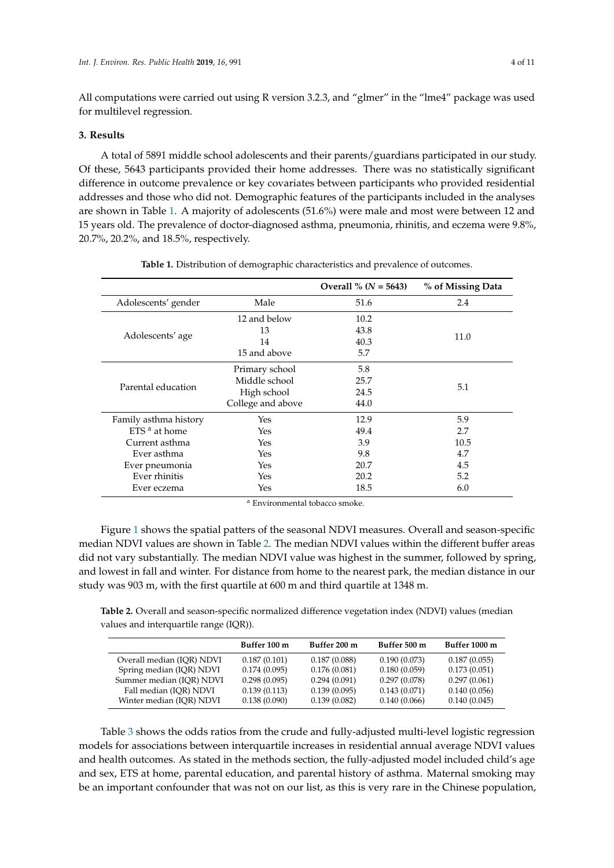All computations were carried out using R version 3.2.3, and "glmer" in the "lme4" package was used for multilevel regression.

#### **3. Results**

A total of 5891 middle school adolescents and their parents/guardians participated in our study. Of these, 5643 participants provided their home addresses. There was no statistically significant difference in outcome prevalence or key covariates between participants who provided residential addresses and those who did not. Demographic features of the participants included in the analyses are shown in Table [1.](#page-4-0) A majority of adolescents (51.6%) were male and most were between 12 and 15 years old. The prevalence of doctor-diagnosed asthma, pneumonia, rhinitis, and eczema were 9.8%, 20.7%, 20.2%, and 18.5%, respectively.

<span id="page-4-0"></span>

|                       |                   | Overall % $(N = 5643)$ | % of Missing Data |  |
|-----------------------|-------------------|------------------------|-------------------|--|
| Adolescents' gender   | Male              | 51.6                   | 2.4               |  |
|                       | 12 and below      | 10.2                   | 11.0              |  |
|                       | 13                | 43.8                   |                   |  |
| Adolescents' age      | 14                | 40.3                   |                   |  |
|                       | 15 and above      | 5.7                    |                   |  |
|                       | Primary school    | 5.8                    | 5.1               |  |
|                       | Middle school     | 25.7                   |                   |  |
| Parental education    | High school       | 24.5                   |                   |  |
|                       | College and above | 44.0                   |                   |  |
| Family asthma history | Yes               | 12.9                   | 5.9               |  |
| $ETSa$ at home        | Yes               | 49.4                   | 2.7               |  |
| Current asthma        | Yes               | 3.9                    | 10.5              |  |
| Ever asthma           | Yes               | 9.8                    | 4.7               |  |
| Ever pneumonia        | Yes               | 20.7                   | 4.5               |  |
| Ever rhinitis         | Yes               | 20.2                   | 5.2               |  |
| Ever eczema           | Yes               | 18.5                   | 6.0               |  |

**Table 1.** Distribution of demographic characteristics and prevalence of outcomes.

<sup>a</sup> Environmental tobacco smoke.

Figure [1](#page-5-0) shows the spatial patters of the seasonal NDVI measures. Overall and season-specific median NDVI values are shown in Table [2.](#page-4-1) The median NDVI values within the different buffer areas did not vary substantially. The median NDVI value was highest in the summer, followed by spring, and lowest in fall and winter. For distance from home to the nearest park, the median distance in our study was 903 m, with the first quartile at 600 m and third quartile at 1348 m.

<span id="page-4-1"></span>**Table 2.** Overall and season-specific normalized difference vegetation index (NDVI) values (median values and interquartile range (IQR)).

|                           | Buffer 100 m | Buffer 200 m | Buffer 500 m | Buffer 1000 m |
|---------------------------|--------------|--------------|--------------|---------------|
| Overall median (IQR) NDVI | 0.187(0.101) | 0.187(0.088) | 0.190(0.073) | 0.187(0.055)  |
| Spring median (IQR) NDVI  | 0.174(0.095) | 0.176(0.081) | 0.180(0.059) | 0.173(0.051)  |
| Summer median (IQR) NDVI  | 0.298(0.095) | 0.294(0.091) | 0.297(0.078) | 0.297(0.061)  |
| Fall median (IQR) NDVI    | 0.139(0.113) | 0.139(0.095) | 0.143(0.071) | 0.140(0.056)  |
| Winter median (IOR) NDVI  | 0.138(0.090) | 0.139(0.082) | 0.140(0.066) | 0.140(0.045)  |

Table [3](#page-5-1) shows the odds ratios from the crude and fully-adjusted multi-level logistic regression models for associations between interquartile increases in residential annual average NDVI values and health outcomes. As stated in the methods section, the fully-adjusted model included child's age and sex, ETS at home, parental education, and parental history of asthma. Maternal smoking may be an important confounder that was not on our list, as this is very rare in the Chinese population,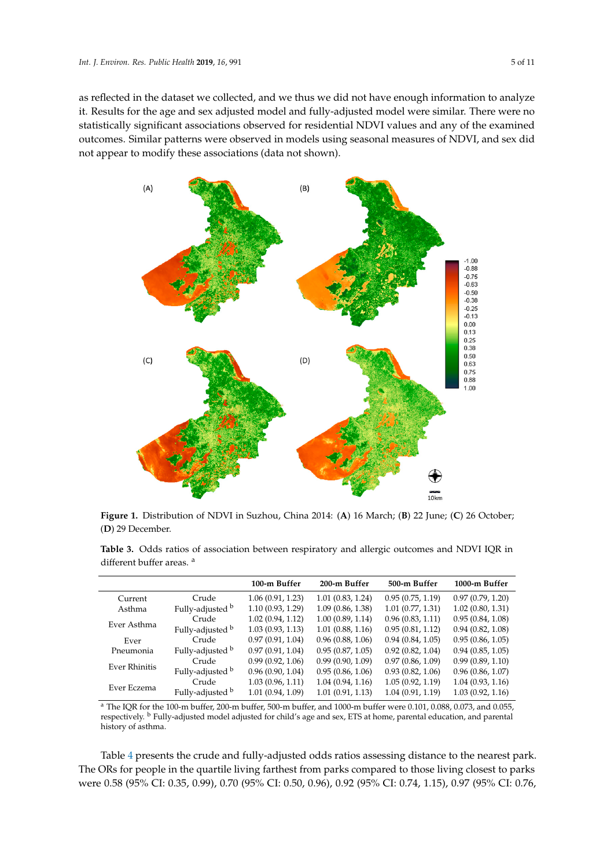as reflected in the dataset we collected, and we thus we did not have enough information to analyze it. Results for the age and sex adjusted model and fully-adjusted model were similar. There were no statistically significant associations observed for residential NDVI values and any of the examined outcomes. Similar patterns were observed in models using seasonal measures of NDVI, and sex did outcomes. Similar patterns were observed in models using seasonal measures of NDVI, and sex did not appear to modify these associations (data not shown). not appear to modify these associations (data not shown).

<span id="page-5-0"></span>

**Figure 1.** Distribution of NDVI in Suzhou, China 2014: (**A**) 16 March; (**B**) 22 June; (**C**) 26 October; (**D**) (**D**) 29 December. **Figure 1.** Distribution of NDVI in Suzhou, China 2014: (**A**) 16 March; (**B**) 22 June; (**C**) 26 October;

<span id="page-5-1"></span>Table 3. Odds ratios of association between respiratory and allergic outcomes and NDVI IQR in different buffer areas.<sup>a</sup>

|               |                  | 100-m Buffer     | 200-m Buffer     | 500-m Buffer     | 1000-m Buffer    |
|---------------|------------------|------------------|------------------|------------------|------------------|
| Current       | Crude            | 1.06(0.91, 1.23) | 1.01(0.83, 1.24) | 0.95(0.75, 1.19) | 0.97(0.79, 1.20) |
| Asthma        | Fully-adjusted b | 1.10(0.93, 1.29) | 1.09(0.86, 1.38) | 1.01(0.77, 1.31) | 1.02(0.80, 1.31) |
| Ever Asthma   | Crude            | 1.02(0.94, 1.12) | 1.00(0.89, 1.14) | 0.96(0.83, 1.11) | 0.95(0.84, 1.08) |
|               | Fully-adjusted b | 1.03(0.93, 1.13) | 1.01(0.88, 1.16) | 0.95(0.81, 1.12) | 0.94(0.82, 1.08) |
| Ever          | Crude            | 0.97(0.91, 1.04) | 0.96(0.88, 1.06) | 0.94(0.84, 1.05) | 0.95(0.86, 1.05) |
| Pneumonia     | Fully-adjusted b | 0.97(0.91, 1.04) | 0.95(0.87, 1.05) | 0.92(0.82, 1.04) | 0.94(0.85, 1.05) |
| Ever Rhinitis | Crude            | 0.99(0.92, 1.06) | 0.99(0.90, 1.09) | 0.97(0.86, 1.09) | 0.99(0.89, 1.10) |
|               | Fully-adjusted b | 0.96(0.90, 1.04) | 0.95(0.86, 1.06) | 0.93(0.82, 1.06) | 0.96(0.86, 1.07) |
| Ever Eczema   | Crude            | 1.03(0.96, 1.11) | 1.04(0.94, 1.16) | 1.05(0.92, 1.19) | 1.04(0.93, 1.16) |
|               | Fully-adjusted b | 1.01(0.94, 1.09) | 1.01(0.91, 1.13) | 1.04(0.91, 1.19) | 1.03(0.92, 1.16) |

<sup>a</sup> The IQR for the 100-m buffer, 200-m buffer, 500-m buffer, and 1000-m buffer were 0.101, 0.088, 0.073, and 0.055, respectively. <sup>b</sup> Fully-adjusted model adjusted for child's age and sex, ETS at home, parental education, and parental history of asthma.

Table 4 presents the crude and fully-adjusted odds ratios assessing distance to the nearest park. The ORs for people in the quartile living farthest from parks compared to those living closest to parks. The nearest parks compared to those living closest to parks were 0.58 (95% CI: 0.35, 0.99), 0.70 (95% CI: 0.50, 0.96), 0.92 (95% CI: 0.74, 1.15), 0.97 (95% CI: 0.76,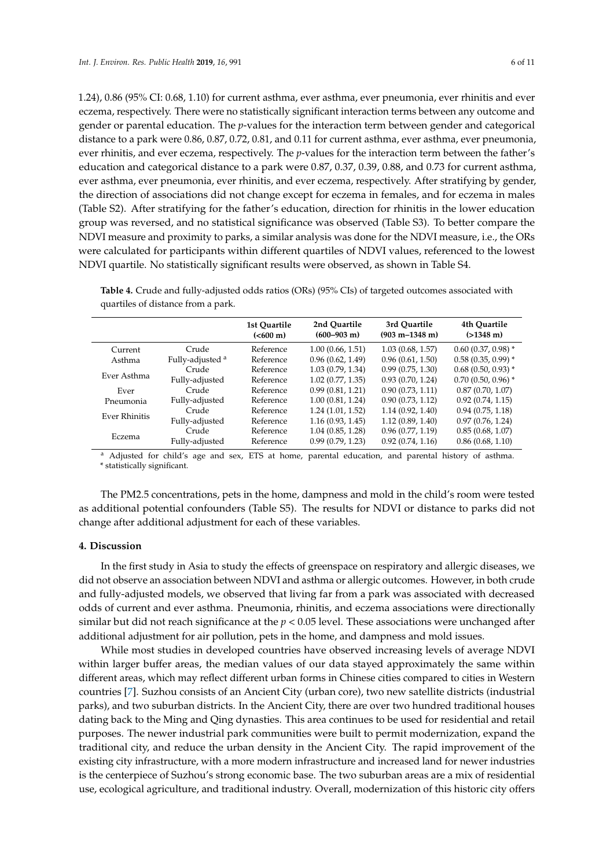1.24), 0.86 (95% CI: 0.68, 1.10) for current asthma, ever asthma, ever pneumonia, ever rhinitis and ever eczema, respectively. There were no statistically significant interaction terms between any outcome and gender or parental education. The *p*-values for the interaction term between gender and categorical distance to a park were 0.86, 0.87, 0.72, 0.81, and 0.11 for current asthma, ever asthma, ever pneumonia, ever rhinitis, and ever eczema, respectively. The *p*-values for the interaction term between the father's education and categorical distance to a park were 0.87, 0.37, 0.39, 0.88, and 0.73 for current asthma, ever asthma, ever pneumonia, ever rhinitis, and ever eczema, respectively. After stratifying by gender, the direction of associations did not change except for eczema in females, and for eczema in males (Table S2). After stratifying for the father's education, direction for rhinitis in the lower education group was reversed, and no statistical significance was observed (Table S3). To better compare the NDVI measure and proximity to parks, a similar analysis was done for the NDVI measure, i.e., the ORs were calculated for participants within different quartiles of NDVI values, referenced to the lowest NDVI quartile. No statistically significant results were observed, as shown in Table S4.

|               |                             | 1st Ouartile<br>(<600 m) | 2nd Ouartile<br>$(600 - 903 \text{ m})$ | 3rd Ouartile<br>$(903 m - 1348 m)$ | 4th Ouartile<br>$(>1348 \text{ m})$ |
|---------------|-----------------------------|--------------------------|-----------------------------------------|------------------------------------|-------------------------------------|
| Current       | Crude                       | Reference                | 1.00(0.66, 1.51)                        | 1.03(0.68, 1.57)                   | $0.60(0.37, 0.98)$ *                |
| Asthma        | Fully-adjusted <sup>a</sup> | Reference                | 0.96(0.62, 1.49)                        | 0.96(0.61, 1.50)                   | $0.58(0.35, 0.99)$ *                |
| Ever Asthma   | Crude                       | Reference                | 1.03(0.79, 1.34)                        | 0.99(0.75, 1.30)                   | $0.68$ (0.50, 0.93) $*$             |
|               | Fully-adjusted              | Reference                | 1.02(0.77, 1.35)                        | 0.93(0.70, 1.24)                   | $0.70(0.50, 0.96)$ *                |
| Ever          | Crude                       | Reference                | 0.99(0.81, 1.21)                        | 0.90(0.73, 1.11)                   | 0.87(0.70, 1.07)                    |
| Pneumonia     | Fully-adjusted              | Reference                | 1.00(0.81, 1.24)                        | 0.90(0.73, 1.12)                   | 0.92(0.74, 1.15)                    |
| Ever Rhinitis | Crude                       | Reference                | 1.24(1.01, 1.52)                        | 1.14(0.92, 1.40)                   | 0.94(0.75, 1.18)                    |
|               | Fully-adjusted              | Reference                | 1.16(0.93, 1.45)                        | 1.12(0.89, 1.40)                   | 0.97(0.76, 1.24)                    |
| Eczema        | Crude                       | Reference                | 1.04(0.85, 1.28)                        | 0.96(0.77, 1.19)                   | 0.85(0.68, 1.07)                    |
|               | Fully-adjusted              | Reference                | 0.99(0.79, 1.23)                        | 0.92(0.74, 1.16)                   | 0.86(0.68, 1.10)                    |

<span id="page-6-0"></span>**Table 4.** Crude and fully-adjusted odds ratios (ORs) (95% CIs) of targeted outcomes associated with quartiles of distance from a park.

<sup>a</sup> Adjusted for child's age and sex, ETS at home, parental education, and parental history of asthma. \* statistically significant.

The PM2.5 concentrations, pets in the home, dampness and mold in the child's room were tested as additional potential confounders (Table S5). The results for NDVI or distance to parks did not change after additional adjustment for each of these variables.

### **4. Discussion**

In the first study in Asia to study the effects of greenspace on respiratory and allergic diseases, we did not observe an association between NDVI and asthma or allergic outcomes. However, in both crude and fully-adjusted models, we observed that living far from a park was associated with decreased odds of current and ever asthma. Pneumonia, rhinitis, and eczema associations were directionally similar but did not reach significance at the *p* < 0.05 level. These associations were unchanged after additional adjustment for air pollution, pets in the home, and dampness and mold issues.

While most studies in developed countries have observed increasing levels of average NDVI within larger buffer areas, the median values of our data stayed approximately the same within different areas, which may reflect different urban forms in Chinese cities compared to cities in Western countries [\[7\]](#page-9-4). Suzhou consists of an Ancient City (urban core), two new satellite districts (industrial parks), and two suburban districts. In the Ancient City, there are over two hundred traditional houses dating back to the Ming and Qing dynasties. This area continues to be used for residential and retail purposes. The newer industrial park communities were built to permit modernization, expand the traditional city, and reduce the urban density in the Ancient City. The rapid improvement of the existing city infrastructure, with a more modern infrastructure and increased land for newer industries is the centerpiece of Suzhou's strong economic base. The two suburban areas are a mix of residential use, ecological agriculture, and traditional industry. Overall, modernization of this historic city offers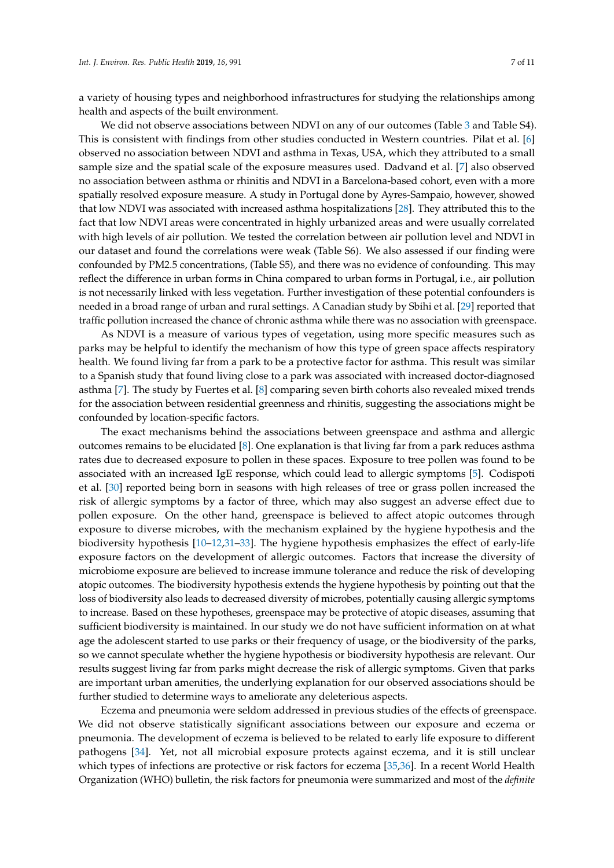a variety of housing types and neighborhood infrastructures for studying the relationships among health and aspects of the built environment.

We did not observe associations between NDVI on any of our outcomes (Table [3](#page-5-1) and Table S4). This is consistent with findings from other studies conducted in Western countries. Pilat et al. [\[6\]](#page-9-3) observed no association between NDVI and asthma in Texas, USA, which they attributed to a small sample size and the spatial scale of the exposure measures used. Dadvand et al. [\[7\]](#page-9-4) also observed no association between asthma or rhinitis and NDVI in a Barcelona-based cohort, even with a more spatially resolved exposure measure. A study in Portugal done by Ayres-Sampaio, however, showed that low NDVI was associated with increased asthma hospitalizations [\[28\]](#page-10-14). They attributed this to the fact that low NDVI areas were concentrated in highly urbanized areas and were usually correlated with high levels of air pollution. We tested the correlation between air pollution level and NDVI in our dataset and found the correlations were weak (Table S6). We also assessed if our finding were confounded by PM2.5 concentrations, (Table S5), and there was no evidence of confounding. This may reflect the difference in urban forms in China compared to urban forms in Portugal, i.e., air pollution is not necessarily linked with less vegetation. Further investigation of these potential confounders is needed in a broad range of urban and rural settings. A Canadian study by Sbihi et al. [\[29\]](#page-10-15) reported that traffic pollution increased the chance of chronic asthma while there was no association with greenspace.

As NDVI is a measure of various types of vegetation, using more specific measures such as parks may be helpful to identify the mechanism of how this type of green space affects respiratory health. We found living far from a park to be a protective factor for asthma. This result was similar to a Spanish study that found living close to a park was associated with increased doctor-diagnosed asthma [\[7\]](#page-9-4). The study by Fuertes et al. [\[8\]](#page-9-5) comparing seven birth cohorts also revealed mixed trends for the association between residential greenness and rhinitis, suggesting the associations might be confounded by location-specific factors.

The exact mechanisms behind the associations between greenspace and asthma and allergic outcomes remains to be elucidated  $[8]$ . One explanation is that living far from a park reduces asthma rates due to decreased exposure to pollen in these spaces. Exposure to tree pollen was found to be associated with an increased IgE response, which could lead to allergic symptoms [\[5\]](#page-9-2). Codispoti et al. [\[30\]](#page-11-0) reported being born in seasons with high releases of tree or grass pollen increased the risk of allergic symptoms by a factor of three, which may also suggest an adverse effect due to pollen exposure. On the other hand, greenspace is believed to affect atopic outcomes through exposure to diverse microbes, with the mechanism explained by the hygiene hypothesis and the biodiversity hypothesis [\[10](#page-10-0)[–12,](#page-10-1)[31–](#page-11-1)[33\]](#page-11-2). The hygiene hypothesis emphasizes the effect of early-life exposure factors on the development of allergic outcomes. Factors that increase the diversity of microbiome exposure are believed to increase immune tolerance and reduce the risk of developing atopic outcomes. The biodiversity hypothesis extends the hygiene hypothesis by pointing out that the loss of biodiversity also leads to decreased diversity of microbes, potentially causing allergic symptoms to increase. Based on these hypotheses, greenspace may be protective of atopic diseases, assuming that sufficient biodiversity is maintained. In our study we do not have sufficient information on at what age the adolescent started to use parks or their frequency of usage, or the biodiversity of the parks, so we cannot speculate whether the hygiene hypothesis or biodiversity hypothesis are relevant. Our results suggest living far from parks might decrease the risk of allergic symptoms. Given that parks are important urban amenities, the underlying explanation for our observed associations should be further studied to determine ways to ameliorate any deleterious aspects.

Eczema and pneumonia were seldom addressed in previous studies of the effects of greenspace. We did not observe statistically significant associations between our exposure and eczema or pneumonia. The development of eczema is believed to be related to early life exposure to different pathogens [\[34\]](#page-11-3). Yet, not all microbial exposure protects against eczema, and it is still unclear which types of infections are protective or risk factors for eczema [\[35,](#page-11-4)[36\]](#page-11-5). In a recent World Health Organization (WHO) bulletin, the risk factors for pneumonia were summarized and most of the *definite*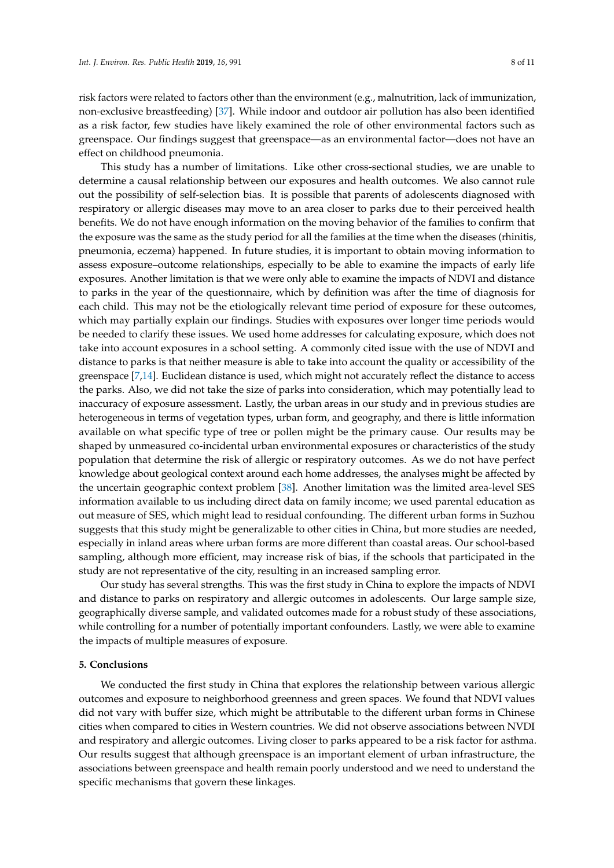risk factors were related to factors other than the environment (e.g., malnutrition, lack of immunization, non-exclusive breastfeeding) [\[37\]](#page-11-6). While indoor and outdoor air pollution has also been identified as a risk factor, few studies have likely examined the role of other environmental factors such as greenspace. Our findings suggest that greenspace—as an environmental factor—does not have an effect on childhood pneumonia.

This study has a number of limitations. Like other cross-sectional studies, we are unable to determine a causal relationship between our exposures and health outcomes. We also cannot rule out the possibility of self-selection bias. It is possible that parents of adolescents diagnosed with respiratory or allergic diseases may move to an area closer to parks due to their perceived health benefits. We do not have enough information on the moving behavior of the families to confirm that the exposure was the same as the study period for all the families at the time when the diseases (rhinitis, pneumonia, eczema) happened. In future studies, it is important to obtain moving information to assess exposure–outcome relationships, especially to be able to examine the impacts of early life exposures. Another limitation is that we were only able to examine the impacts of NDVI and distance to parks in the year of the questionnaire, which by definition was after the time of diagnosis for each child. This may not be the etiologically relevant time period of exposure for these outcomes, which may partially explain our findings. Studies with exposures over longer time periods would be needed to clarify these issues. We used home addresses for calculating exposure, which does not take into account exposures in a school setting. A commonly cited issue with the use of NDVI and distance to parks is that neither measure is able to take into account the quality or accessibility of the greenspace [\[7,](#page-9-4)[14\]](#page-10-3). Euclidean distance is used, which might not accurately reflect the distance to access the parks. Also, we did not take the size of parks into consideration, which may potentially lead to inaccuracy of exposure assessment. Lastly, the urban areas in our study and in previous studies are heterogeneous in terms of vegetation types, urban form, and geography, and there is little information available on what specific type of tree or pollen might be the primary cause. Our results may be shaped by unmeasured co-incidental urban environmental exposures or characteristics of the study population that determine the risk of allergic or respiratory outcomes. As we do not have perfect knowledge about geological context around each home addresses, the analyses might be affected by the uncertain geographic context problem [\[38\]](#page-11-7). Another limitation was the limited area-level SES information available to us including direct data on family income; we used parental education as out measure of SES, which might lead to residual confounding. The different urban forms in Suzhou suggests that this study might be generalizable to other cities in China, but more studies are needed, especially in inland areas where urban forms are more different than coastal areas. Our school-based sampling, although more efficient, may increase risk of bias, if the schools that participated in the study are not representative of the city, resulting in an increased sampling error.

Our study has several strengths. This was the first study in China to explore the impacts of NDVI and distance to parks on respiratory and allergic outcomes in adolescents. Our large sample size, geographically diverse sample, and validated outcomes made for a robust study of these associations, while controlling for a number of potentially important confounders. Lastly, we were able to examine the impacts of multiple measures of exposure.

#### **5. Conclusions**

We conducted the first study in China that explores the relationship between various allergic outcomes and exposure to neighborhood greenness and green spaces. We found that NDVI values did not vary with buffer size, which might be attributable to the different urban forms in Chinese cities when compared to cities in Western countries. We did not observe associations between NVDI and respiratory and allergic outcomes. Living closer to parks appeared to be a risk factor for asthma. Our results suggest that although greenspace is an important element of urban infrastructure, the associations between greenspace and health remain poorly understood and we need to understand the specific mechanisms that govern these linkages.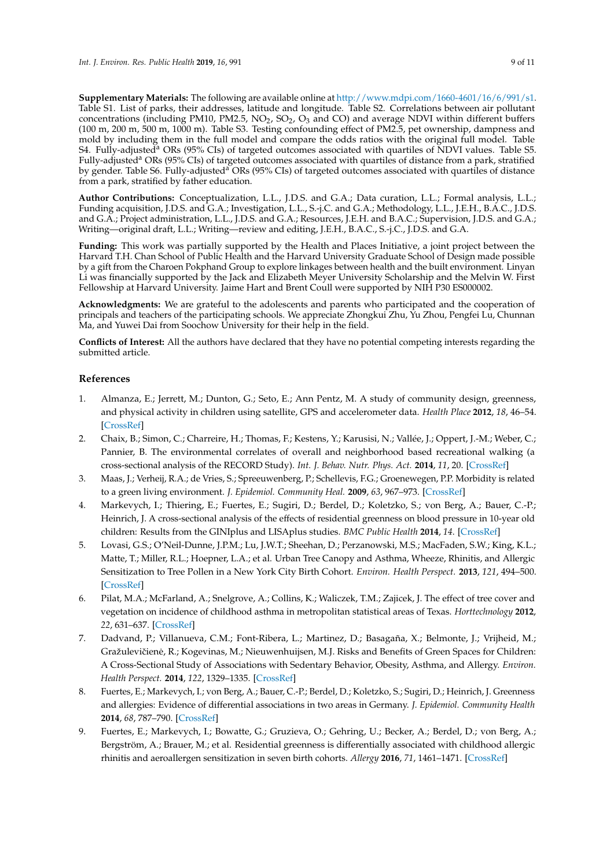**Supplementary Materials:** The following are available online at [http://www.mdpi.com/1660-4601/16/6/991/s1.](http://www.mdpi.com/1660-4601/16/6/991/s1) Table S1. List of parks, their addresses, latitude and longitude. Table S2. Correlations between air pollutant concentrations (including PM10, PM2.5,  $NO_2$ ,  $SO_2$ ,  $O_3$  and CO) and average NDVI within different buffers (100 m, 200 m, 500 m, 1000 m). Table S3. Testing confounding effect of PM2.5, pet ownership, dampness and mold by including them in the full model and compare the odds ratios with the original full model. Table S4. Fully-adjusted<sup>a</sup> ORs (95% CIs) of targeted outcomes associated with quartiles of NDVI values. Table S5. Fully-adjusted<sup>a</sup> ORs (95% CIs) of targeted outcomes associated with quartiles of distance from a park, stratified by gender. Table S6. Fully-adjusted<sup>a</sup> ORs (95% CIs) of targeted outcomes associated with quartiles of distance from a park, stratified by father education.

**Author Contributions:** Conceptualization, L.L., J.D.S. and G.A.; Data curation, L.L.; Formal analysis, L.L.; Funding acquisition, J.D.S. and G.A.; Investigation, L.L., S.-j.C. and G.A.; Methodology, L.L., J.E.H., B.A.C., J.D.S. and G.A.; Project administration, L.L., J.D.S. and G.A.; Resources, J.E.H. and B.A.C.; Supervision, J.D.S. and G.A.; Writing—original draft, L.L.; Writing—review and editing, J.E.H., B.A.C., S.-j.C., J.D.S. and G.A.

**Funding:** This work was partially supported by the Health and Places Initiative, a joint project between the Harvard T.H. Chan School of Public Health and the Harvard University Graduate School of Design made possible by a gift from the Charoen Pokphand Group to explore linkages between health and the built environment. Linyan Li was financially supported by the Jack and Elizabeth Meyer University Scholarship and the Melvin W. First Fellowship at Harvard University. Jaime Hart and Brent Coull were supported by NIH P30 ES000002.

**Acknowledgments:** We are grateful to the adolescents and parents who participated and the cooperation of principals and teachers of the participating schools. We appreciate Zhongkui Zhu, Yu Zhou, Pengfei Lu, Chunnan Ma, and Yuwei Dai from Soochow University for their help in the field.

**Conflicts of Interest:** All the authors have declared that they have no potential competing interests regarding the submitted article.

### **References**

- <span id="page-9-0"></span>1. Almanza, E.; Jerrett, M.; Dunton, G.; Seto, E.; Ann Pentz, M. A study of community design, greenness, and physical activity in children using satellite, GPS and accelerometer data. *Health Place* **2012**, *18*, 46–54. [\[CrossRef\]](http://dx.doi.org/10.1016/j.healthplace.2011.09.003)
- 2. Chaix, B.; Simon, C.; Charreire, H.; Thomas, F.; Kestens, Y.; Karusisi, N.; Vallée, J.; Oppert, J.-M.; Weber, C.; Pannier, B. The environmental correlates of overall and neighborhood based recreational walking (a cross-sectional analysis of the RECORD Study). *Int. J. Behav. Nutr. Phys. Act.* **2014**, *11*, 20. [\[CrossRef\]](http://dx.doi.org/10.1186/1479-5868-11-20)
- 3. Maas, J.; Verheij, R.A.; de Vries, S.; Spreeuwenberg, P.; Schellevis, F.G.; Groenewegen, P.P. Morbidity is related to a green living environment. *J. Epidemiol. Community Heal.* **2009**, *63*, 967–973. [\[CrossRef\]](http://dx.doi.org/10.1136/jech.2008.079038)
- <span id="page-9-1"></span>4. Markevych, I.; Thiering, E.; Fuertes, E.; Sugiri, D.; Berdel, D.; Koletzko, S.; von Berg, A.; Bauer, C.-P.; Heinrich, J. A cross-sectional analysis of the effects of residential greenness on blood pressure in 10-year old children: Results from the GINIplus and LISAplus studies. *BMC Public Health* **2014**, *14*. [\[CrossRef\]](http://dx.doi.org/10.1186/1471-2458-14-477)
- <span id="page-9-2"></span>5. Lovasi, G.S.; O'Neil-Dunne, J.P.M.; Lu, J.W.T.; Sheehan, D.; Perzanowski, M.S.; MacFaden, S.W.; King, K.L.; Matte, T.; Miller, R.L.; Hoepner, L.A.; et al. Urban Tree Canopy and Asthma, Wheeze, Rhinitis, and Allergic Sensitization to Tree Pollen in a New York City Birth Cohort. *Environ. Health Perspect.* **2013**, *121*, 494–500. [\[CrossRef\]](http://dx.doi.org/10.1289/ehp.1205513)
- <span id="page-9-3"></span>6. Pilat, M.A.; McFarland, A.; Snelgrove, A.; Collins, K.; Waliczek, T.M.; Zajicek, J. The effect of tree cover and vegetation on incidence of childhood asthma in metropolitan statistical areas of Texas. *Horttechnology* **2012**, *22*, 631–637. [\[CrossRef\]](http://dx.doi.org/10.21273/HORTTECH.22.5.631)
- <span id="page-9-4"></span>7. Dadvand, P.; Villanueva, C.M.; Font-Ribera, L.; Martinez, D.; Basagaña, X.; Belmonte, J.; Vrijheid, M.; Gražulevičienė, R.; Kogevinas, M.; Nieuwenhuijsen, M.J. Risks and Benefits of Green Spaces for Children: A Cross-Sectional Study of Associations with Sedentary Behavior, Obesity, Asthma, and Allergy. *Environ. Health Perspect.* **2014**, *122*, 1329–1335. [\[CrossRef\]](http://dx.doi.org/10.1289/ehp.1308038)
- <span id="page-9-5"></span>8. Fuertes, E.; Markevych, I.; von Berg, A.; Bauer, C.-P.; Berdel, D.; Koletzko, S.; Sugiri, D.; Heinrich, J. Greenness and allergies: Evidence of differential associations in two areas in Germany. *J. Epidemiol. Community Health* **2014**, *68*, 787–790. [\[CrossRef\]](http://dx.doi.org/10.1136/jech-2014-203903)
- <span id="page-9-6"></span>9. Fuertes, E.; Markevych, I.; Bowatte, G.; Gruzieva, O.; Gehring, U.; Becker, A.; Berdel, D.; von Berg, A.; Bergström, A.; Brauer, M.; et al. Residential greenness is differentially associated with childhood allergic rhinitis and aeroallergen sensitization in seven birth cohorts. *Allergy* **2016**, *71*, 1461–1471. [\[CrossRef\]](http://dx.doi.org/10.1111/all.12915)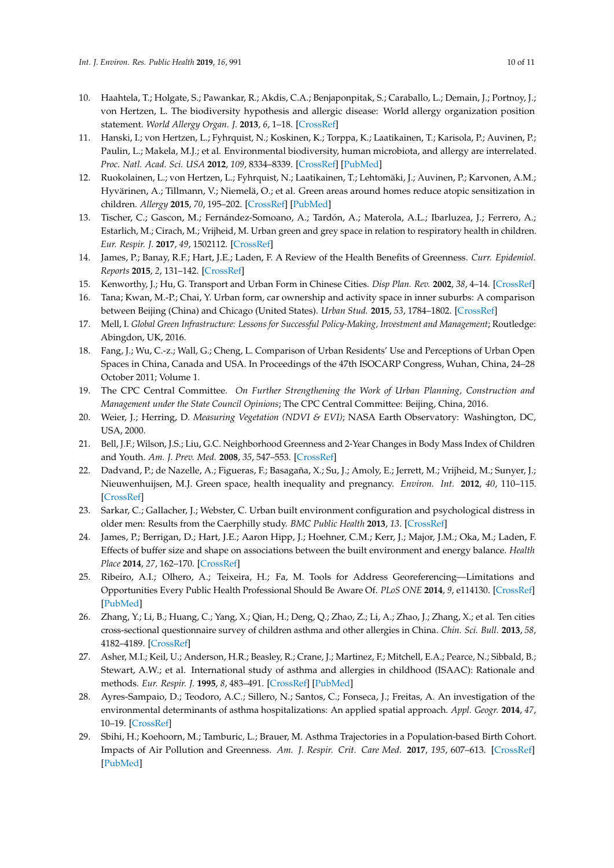- <span id="page-10-0"></span>10. Haahtela, T.; Holgate, S.; Pawankar, R.; Akdis, C.A.; Benjaponpitak, S.; Caraballo, L.; Demain, J.; Portnoy, J.; von Hertzen, L. The biodiversity hypothesis and allergic disease: World allergy organization position statement. *World Allergy Organ. J.* **2013**, *6*, 1–18. [\[CrossRef\]](http://dx.doi.org/10.1186/1939-4551-6-3)
- 11. Hanski, I.; von Hertzen, L.; Fyhrquist, N.; Koskinen, K.; Torppa, K.; Laatikainen, T.; Karisola, P.; Auvinen, P.; Paulin, L.; Makela, M.J.; et al. Environmental biodiversity, human microbiota, and allergy are interrelated. *Proc. Natl. Acad. Sci. USA* **2012**, *109*, 8334–8339. [\[CrossRef\]](http://dx.doi.org/10.1073/pnas.1205624109) [\[PubMed\]](http://www.ncbi.nlm.nih.gov/pubmed/22566627)
- <span id="page-10-1"></span>12. Ruokolainen, L.; von Hertzen, L.; Fyhrquist, N.; Laatikainen, T.; Lehtomäki, J.; Auvinen, P.; Karvonen, A.M.; Hyvärinen, A.; Tillmann, V.; Niemelä, O.; et al. Green areas around homes reduce atopic sensitization in children. *Allergy* **2015**, *70*, 195–202. [\[CrossRef\]](http://dx.doi.org/10.1111/all.12545) [\[PubMed\]](http://www.ncbi.nlm.nih.gov/pubmed/25388016)
- <span id="page-10-2"></span>13. Tischer, C.; Gascon, M.; Fernández-Somoano, A.; Tardón, A.; Materola, A.L.; Ibarluzea, J.; Ferrero, A.; Estarlich, M.; Cirach, M.; Vrijheid, M. Urban green and grey space in relation to respiratory health in children. *Eur. Respir. J.* **2017**, *49*, 1502112. [\[CrossRef\]](http://dx.doi.org/10.1183/13993003.02112-2015)
- <span id="page-10-3"></span>14. James, P.; Banay, R.F.; Hart, J.E.; Laden, F. A Review of the Health Benefits of Greenness. *Curr. Epidemiol. Reports* **2015**, *2*, 131–142. [\[CrossRef\]](http://dx.doi.org/10.1007/s40471-015-0043-7)
- <span id="page-10-4"></span>15. Kenworthy, J.; Hu, G. Transport and Urban Form in Chinese Cities. *Disp Plan. Rev.* **2002**, *38*, 4–14. [\[CrossRef\]](http://dx.doi.org/10.1080/02513625.2002.10556818)
- <span id="page-10-5"></span>16. Tana; Kwan, M.-P.; Chai, Y. Urban form, car ownership and activity space in inner suburbs: A comparison between Beijing (China) and Chicago (United States). *Urban Stud.* **2015**, *53*, 1784–1802. [\[CrossRef\]](http://dx.doi.org/10.1177/0042098015581123)
- 17. Mell, I. *Global Green Infrastructure: Lessons for Successful Policy-Making, Investment and Management*; Routledge: Abingdon, UK, 2016.
- <span id="page-10-6"></span>18. Fang, J.; Wu, C.-z.; Wall, G.; Cheng, L. Comparison of Urban Residents' Use and Perceptions of Urban Open Spaces in China, Canada and USA. In Proceedings of the 47th ISOCARP Congress, Wuhan, China, 24–28 October 2011; Volume 1.
- <span id="page-10-7"></span>19. The CPC Central Committee. *On Further Strengthening the Work of Urban Planning, Construction and Management under the State Council Opinions*; The CPC Central Committee: Beijing, China, 2016.
- <span id="page-10-8"></span>20. Weier, J.; Herring, D. *Measuring Vegetation (NDVI & EVI)*; NASA Earth Observatory: Washington, DC, USA, 2000.
- <span id="page-10-9"></span>21. Bell, J.F.; Wilson, J.S.; Liu, G.C. Neighborhood Greenness and 2-Year Changes in Body Mass Index of Children and Youth. *Am. J. Prev. Med.* **2008**, *35*, 547–553. [\[CrossRef\]](http://dx.doi.org/10.1016/j.amepre.2008.07.006)
- 22. Dadvand, P.; de Nazelle, A.; Figueras, F.; Basagaña, X.; Su, J.; Amoly, E.; Jerrett, M.; Vrijheid, M.; Sunyer, J.; Nieuwenhuijsen, M.J. Green space, health inequality and pregnancy. *Environ. Int.* **2012**, *40*, 110–115. [\[CrossRef\]](http://dx.doi.org/10.1016/j.envint.2011.07.004)
- 23. Sarkar, C.; Gallacher, J.; Webster, C. Urban built environment configuration and psychological distress in older men: Results from the Caerphilly study. *BMC Public Health* **2013**, *13*. [\[CrossRef\]](http://dx.doi.org/10.1186/1471-2458-13-695)
- <span id="page-10-10"></span>24. James, P.; Berrigan, D.; Hart, J.E.; Aaron Hipp, J.; Hoehner, C.M.; Kerr, J.; Major, J.M.; Oka, M.; Laden, F. Effects of buffer size and shape on associations between the built environment and energy balance. *Health Place* **2014**, *27*, 162–170. [\[CrossRef\]](http://dx.doi.org/10.1016/j.healthplace.2014.02.003)
- <span id="page-10-11"></span>25. Ribeiro, A.I.; Olhero, A.; Teixeira, H.; Fa, M. Tools for Address Georeferencing—Limitations and Opportunities Every Public Health Professional Should Be Aware Of. *PLoS ONE* **2014**, *9*, e114130. [\[CrossRef\]](http://dx.doi.org/10.1371/journal.pone.0114130) [\[PubMed\]](http://www.ncbi.nlm.nih.gov/pubmed/25469514)
- <span id="page-10-12"></span>26. Zhang, Y.; Li, B.; Huang, C.; Yang, X.; Qian, H.; Deng, Q.; Zhao, Z.; Li, A.; Zhao, J.; Zhang, X.; et al. Ten cities cross-sectional questionnaire survey of children asthma and other allergies in China. *Chin. Sci. Bull.* **2013**, *58*, 4182–4189. [\[CrossRef\]](http://dx.doi.org/10.1007/s11434-013-5914-z)
- <span id="page-10-13"></span>27. Asher, M.I.; Keil, U.; Anderson, H.R.; Beasley, R.; Crane, J.; Martinez, F.; Mitchell, E.A.; Pearce, N.; Sibbald, B.; Stewart, A.W.; et al. International study of asthma and allergies in childhood (ISAAC): Rationale and methods. *Eur. Respir. J.* **1995**, *8*, 483–491. [\[CrossRef\]](http://dx.doi.org/10.1183/09031936.95.08030483) [\[PubMed\]](http://www.ncbi.nlm.nih.gov/pubmed/7789502)
- <span id="page-10-14"></span>28. Ayres-Sampaio, D.; Teodoro, A.C.; Sillero, N.; Santos, C.; Fonseca, J.; Freitas, A. An investigation of the environmental determinants of asthma hospitalizations: An applied spatial approach. *Appl. Geogr.* **2014**, *47*, 10–19. [\[CrossRef\]](http://dx.doi.org/10.1016/j.apgeog.2013.11.011)
- <span id="page-10-15"></span>29. Sbihi, H.; Koehoorn, M.; Tamburic, L.; Brauer, M. Asthma Trajectories in a Population-based Birth Cohort. Impacts of Air Pollution and Greenness. *Am. J. Respir. Crit. Care Med.* **2017**, *195*, 607–613. [\[CrossRef\]](http://dx.doi.org/10.1164/rccm.201601-0164OC) [\[PubMed\]](http://www.ncbi.nlm.nih.gov/pubmed/27606967)